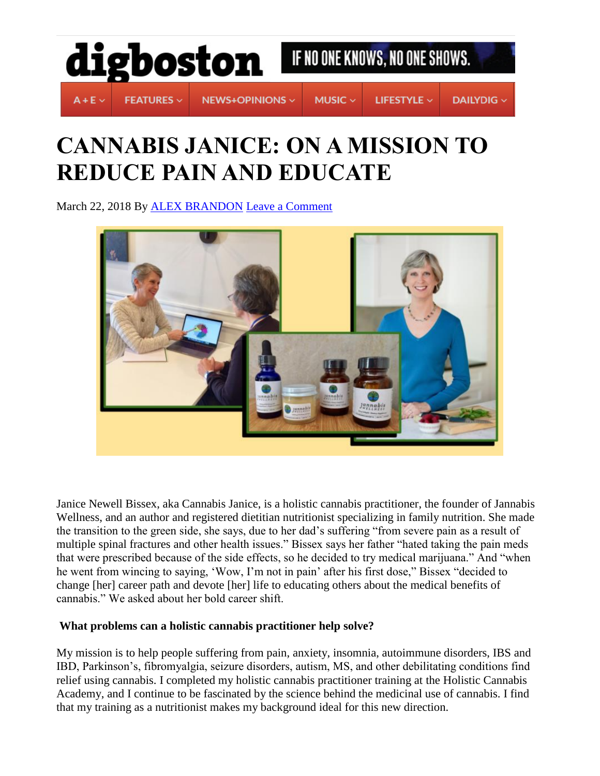

# **CANNABIS JANICE: ON A MISSION TO REDUCE PAIN AND EDUCATE**

March 22, 2018 By [ALEX BRANDON](https://digboston.com/author/alex-brandon/) [Leave a Comment](https://digboston.com/cannabis-janice-on-a-mission-to-reduce-pain-and-educate/#respond)



Janice Newell Bissex, aka Cannabis Janice, is a holistic cannabis practitioner, the founder of Jannabis Wellness, and an author and registered dietitian nutritionist specializing in family nutrition. She made the transition to the green side, she says, due to her dad's suffering "from severe pain as a result of multiple spinal fractures and other health issues." Bissex says her father "hated taking the pain meds that were prescribed because of the side effects, so he decided to try medical marijuana." And "when he went from wincing to saying, 'Wow, I'm not in pain' after his first dose," Bissex "decided to change [her] career path and devote [her] life to educating others about the medical benefits of cannabis." We asked about her bold career shift.

# **What problems can a holistic cannabis practitioner help solve?**

My mission is to help people suffering from pain, anxiety, insomnia, autoimmune disorders, IBS and IBD, Parkinson's, fibromyalgia, seizure disorders, autism, MS, and other debilitating conditions find relief using cannabis. I completed my holistic cannabis practitioner training at the Holistic Cannabis Academy, and I continue to be fascinated by the science behind the medicinal use of cannabis. I find that my training as a nutritionist makes my background ideal for this new direction.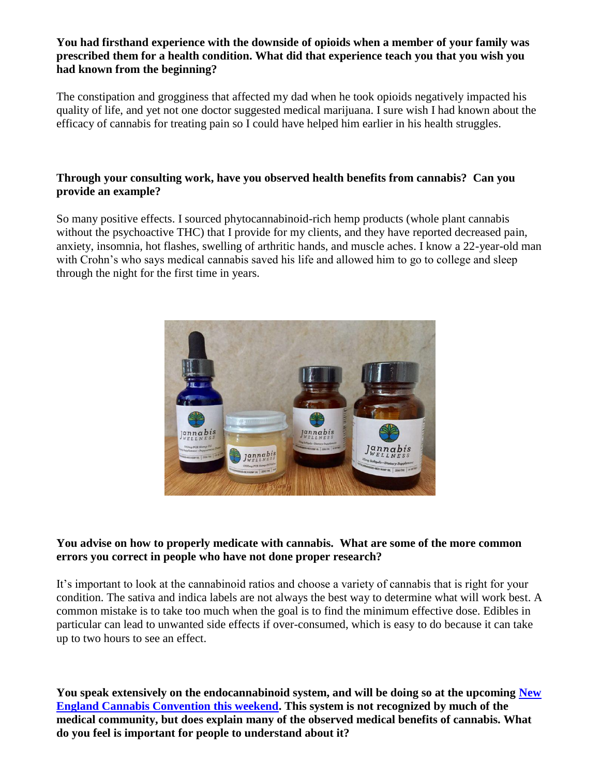## **You had firsthand experience with the downside of opioids when a member of your family was prescribed them for a health condition. What did that experience teach you that you wish you had known from the beginning?**

The constipation and grogginess that affected my dad when he took opioids negatively impacted his quality of life, and yet not one doctor suggested medical marijuana. I sure wish I had known about the efficacy of cannabis for treating pain so I could have helped him earlier in his health struggles.

# **Through your consulting work, have you observed health benefits from cannabis? Can you provide an example?**

So many positive effects. I sourced phytocannabinoid-rich hemp products (whole plant cannabis without the psychoactive THC) that I provide for my clients, and they have reported decreased pain, anxiety, insomnia, hot flashes, swelling of arthritic hands, and muscle aches. I know a 22-year-old man with Crohn's who says medical cannabis saved his life and allowed him to go to college and sleep through the night for the first time in years.



#### **You advise on how to properly medicate with cannabis. What are some of the more common errors you correct in people who have not done proper research?**

It's important to look at the cannabinoid ratios and choose a variety of cannabis that is right for your condition. The sativa and indica labels are not always the best way to determine what will work best. A common mistake is to take too much when the goal is to find the minimum effective dose. Edibles in particular can lead to unwanted side effects if over-consumed, which is easy to do because it can take up to two hours to see an effect.

**You speak extensively on the endocannabinoid system, and will be doing so at the upcoming [New](https://www.necann.com/)  [England Cannabis Convention this weekend.](https://www.necann.com/) This system is not recognized by much of the medical community, but does explain many of the observed medical benefits of cannabis. What do you feel is important for people to understand about it?**